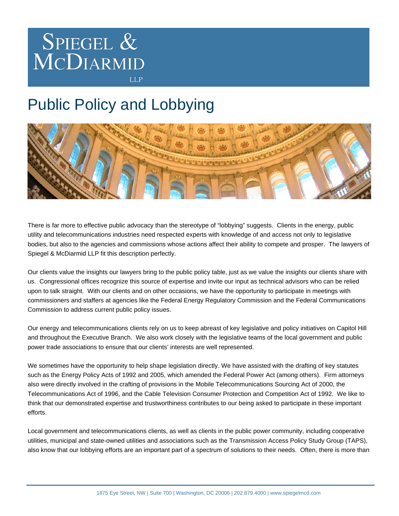

## Public Policy and Lobbying



There is far more to effective public advocacy than the stereotype of "lobbying" suggests. Clients in the energy, public utility and telecommunications industries need respected experts with knowledge of and access not only to legislative bodies, but also to the agencies and commissions whose actions affect their ability to compete and prosper. The lawyers of Spiegel & McDiarmid LLP fit this description perfectly.

Our clients value the insights our lawyers bring to the public policy table, just as we value the insights our clients share with us. Congressional offices recognize this source of expertise and invite our input as technical advisors who can be relied upon to talk straight. With our clients and on other occasions, we have the opportunity to participate in meetings with commissioners and staffers at agencies like the Federal Energy Regulatory Commission and the Federal Communications Commission to address current public policy issues.

Our energy and telecommunications clients rely on us to keep abreast of key legislative and policy initiatives on Capitol Hill and throughout the Executive Branch. We also work closely with the legislative teams of the local government and public power trade associations to ensure that our clients' interests are well represented.

We sometimes have the opportunity to help shape legislation directly. We have assisted with the drafting of key statutes such as the Energy Policy Acts of 1992 and 2005, which amended the Federal Power Act (among others). Firm attorneys also were directly involved in the crafting of provisions in the Mobile Telecommunications Sourcing Act of 2000, the Telecommunications Act of 1996, and the Cable Television Consumer Protection and Competition Act of 1992. We like to think that our demonstrated expertise and trustworthiness contributes to our being asked to participate in these important efforts.

Local government and telecommunications clients, as well as clients in the public power community, including cooperative utilities, municipal and state-owned utilities and associations such as the Transmission Access Policy Study Group (TAPS), also know that our lobbying efforts are an important part of a spectrum of solutions to their needs. Often, there is more than